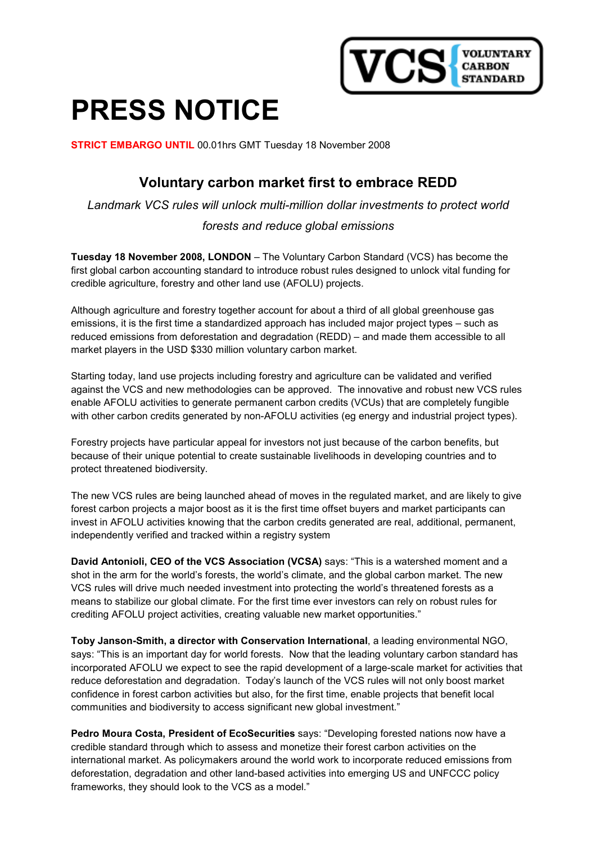

# PRESS NOTICE

STRICT EMBARGO UNTIL 00.01hrs GMT Tuesday 18 November 2008

# Voluntary carbon market first to embrace REDD

Landmark VCS rules will unlock multi-million dollar investments to protect world

## forests and reduce global emissions

Tuesday 18 November 2008, LONDON – The Voluntary Carbon Standard (VCS) has become the first global carbon accounting standard to introduce robust rules designed to unlock vital funding for credible agriculture, forestry and other land use (AFOLU) projects.

Although agriculture and forestry together account for about a third of all global greenhouse gas emissions, it is the first time a standardized approach has included major project types – such as reduced emissions from deforestation and degradation (REDD) – and made them accessible to all market players in the USD \$330 million voluntary carbon market.

Starting today, land use projects including forestry and agriculture can be validated and verified against the VCS and new methodologies can be approved. The innovative and robust new VCS rules enable AFOLU activities to generate permanent carbon credits (VCUs) that are completely fungible with other carbon credits generated by non-AFOLU activities (eg energy and industrial project types).

Forestry projects have particular appeal for investors not just because of the carbon benefits, but because of their unique potential to create sustainable livelihoods in developing countries and to protect threatened biodiversity.

The new VCS rules are being launched ahead of moves in the regulated market, and are likely to give forest carbon projects a major boost as it is the first time offset buyers and market participants can invest in AFOLU activities knowing that the carbon credits generated are real, additional, permanent, independently verified and tracked within a registry system

David Antonioli, CEO of the VCS Association (VCSA) says: "This is a watershed moment and a shot in the arm for the world's forests, the world's climate, and the global carbon market. The new VCS rules will drive much needed investment into protecting the world's threatened forests as a means to stabilize our global climate. For the first time ever investors can rely on robust rules for crediting AFOLU project activities, creating valuable new market opportunities."

Toby Janson-Smith, a director with Conservation International, a leading environmental NGO, says: "This is an important day for world forests. Now that the leading voluntary carbon standard has incorporated AFOLU we expect to see the rapid development of a large-scale market for activities that reduce deforestation and degradation. Today's launch of the VCS rules will not only boost market confidence in forest carbon activities but also, for the first time, enable projects that benefit local communities and biodiversity to access significant new global investment."

Pedro Moura Costa, President of EcoSecurities says: "Developing forested nations now have a credible standard through which to assess and monetize their forest carbon activities on the international market. As policymakers around the world work to incorporate reduced emissions from deforestation, degradation and other land-based activities into emerging US and UNFCCC policy frameworks, they should look to the VCS as a model."